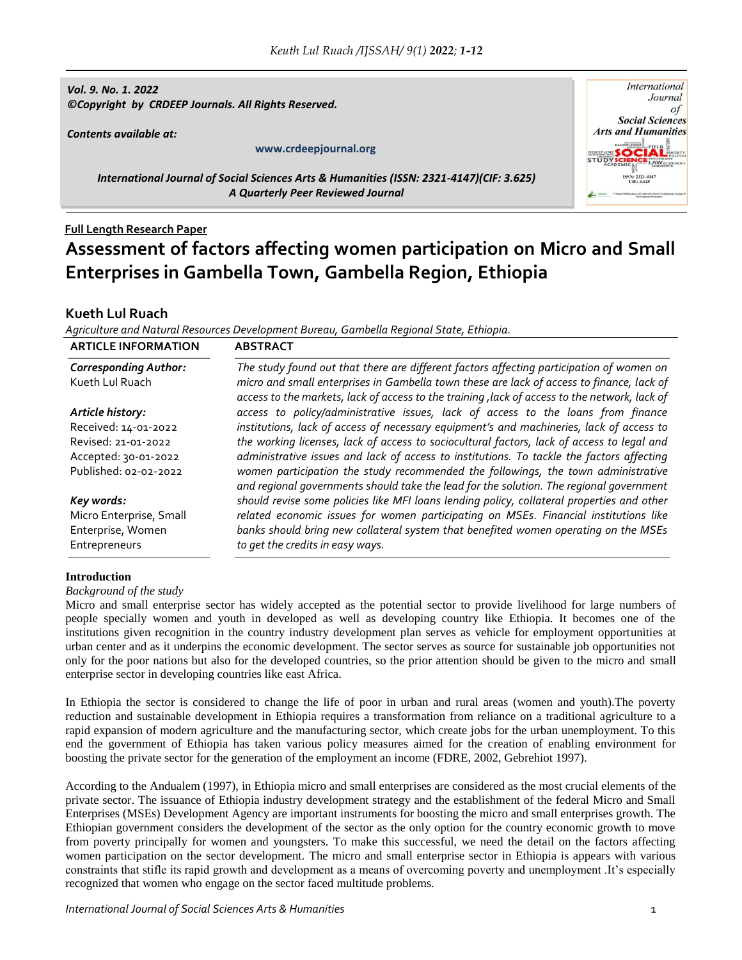*Vol. 9. No. 1. 2022 ©Copyright by CRDEEP Journals. All Rights Reserved.*

*Contents available at:*

-

#### **www.crdeepjournal.org**



*International Journal of Social Sciences Arts & Humanities (ISSN: 2321-4147)(CIF: 3.625) A Quarterly Peer Reviewed Journal*

# **Full Length Research Paper Assessment of factors affecting women participation on Micro and Small Enterprises in Gambella Town, Gambella Region, Ethiopia**

## **Kueth Lul Ruach**

*Agriculture and Natural Resources Development Bureau, Gambella Regional State, Ethiopia.*

| <b>ARTICLE INFORMATION</b>                                    | <b>ABSTRACT</b>                                                                                                                                                                                                                                                                         |
|---------------------------------------------------------------|-----------------------------------------------------------------------------------------------------------------------------------------------------------------------------------------------------------------------------------------------------------------------------------------|
| <b>Corresponding Author:</b><br>Kueth Lul Ruach               | The study found out that there are different factors affecting participation of women on<br>micro and small enterprises in Gambella town these are lack of access to finance, lack of<br>access to the markets, lack of access to the training , lack of access to the network, lack of |
| Article history:                                              | access to policy/administrative issues, lack of access to the loans from finance                                                                                                                                                                                                        |
| Received: 14-01-2022                                          | institutions, lack of access of necessary equipment's and machineries, lack of access to                                                                                                                                                                                                |
| Revised: 21-01-2022                                           | the working licenses, lack of access to sociocultural factors, lack of access to legal and                                                                                                                                                                                              |
| Accepted: 30-01-2022                                          | administrative issues and lack of access to institutions. To tackle the factors affecting                                                                                                                                                                                               |
| Published: 02-02-2022                                         | women participation the study recommended the followings, the town administrative<br>and regional governments should take the lead for the solution. The regional government                                                                                                            |
| Key words:                                                    | should revise some policies like MFI loans lending policy, collateral properties and other                                                                                                                                                                                              |
| Micro Enterprise, Small<br>Enterprise, Women<br>Entrepreneurs | related economic issues for women participating on MSEs. Financial institutions like<br>banks should bring new collateral system that benefited women operating on the MSEs<br>to get the credits in easy ways.                                                                         |

## **Introduction**

*Background of the study*

Micro and small enterprise sector has widely accepted as the potential sector to provide livelihood for large numbers of people specially women and youth in developed as well as developing country like Ethiopia. It becomes one of the institutions given recognition in the country industry development plan serves as vehicle for employment opportunities at urban center and as it underpins the economic development. The sector serves as source for sustainable job opportunities not only for the poor nations but also for the developed countries, so the prior attention should be given to the micro and small enterprise sector in developing countries like east Africa.

In Ethiopia the sector is considered to change the life of poor in urban and rural areas (women and youth).The poverty reduction and sustainable development in Ethiopia requires a transformation from reliance on a traditional agriculture to a rapid expansion of modern agriculture and the manufacturing sector, which create jobs for the urban unemployment. To this end the government of Ethiopia has taken various policy measures aimed for the creation of enabling environment for boosting the private sector for the generation of the employment an income (FDRE, 2002, Gebrehiot 1997).

According to the Andualem (1997), in Ethiopia micro and small enterprises are considered as the most crucial elements of the private sector. The issuance of Ethiopia industry development strategy and the establishment of the federal Micro and Small Enterprises (MSEs) Development Agency are important instruments for boosting the micro and small enterprises growth. The Ethiopian government considers the development of the sector as the only option for the country economic growth to move from poverty principally for women and youngsters. To make this successful, we need the detail on the factors affecting women participation on the sector development. The micro and small enterprise sector in Ethiopia is appears with various constraints that stifle its rapid growth and development as a means of overcoming poverty and unemployment .It's especially recognized that women who engage on the sector faced multitude problems.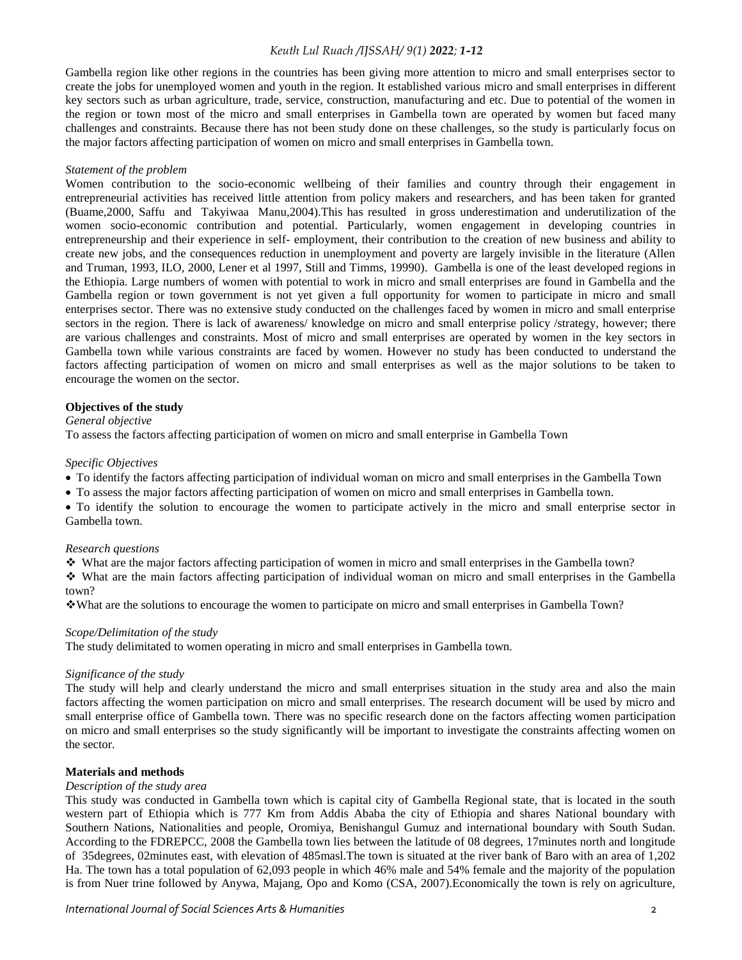Gambella region like other regions in the countries has been giving more attention to micro and small enterprises sector to create the jobs for unemployed women and youth in the region. It established various micro and small enterprises in different key sectors such as urban agriculture, trade, service, construction, manufacturing and etc. Due to potential of the women in the region or town most of the micro and small enterprises in Gambella town are operated by women but faced many challenges and constraints. Because there has not been study done on these challenges, so the study is particularly focus on the major factors affecting participation of women on micro and small enterprises in Gambella town.

#### *Statement of the problem*

Women contribution to the socio-economic wellbeing of their families and country through their engagement in entrepreneurial activities has received little attention from policy makers and researchers, and has been taken for granted (Buame,2000, Saffu and Takyiwaa Manu,2004).This has resulted in gross underestimation and underutilization of the women socio-economic contribution and potential. Particularly, women engagement in developing countries in entrepreneurship and their experience in self- employment, their contribution to the creation of new business and ability to create new jobs, and the consequences reduction in unemployment and poverty are largely invisible in the literature (Allen and Truman, 1993, ILO, 2000, Lener et al 1997, Still and Timms, 19990). Gambella is one of the least developed regions in the Ethiopia. Large numbers of women with potential to work in micro and small enterprises are found in Gambella and the Gambella region or town government is not yet given a full opportunity for women to participate in micro and small enterprises sector. There was no extensive study conducted on the challenges faced by women in micro and small enterprise sectors in the region. There is lack of awareness/ knowledge on micro and small enterprise policy /strategy, however; there are various challenges and constraints. Most of micro and small enterprises are operated by women in the key sectors in Gambella town while various constraints are faced by women. However no study has been conducted to understand the factors affecting participation of women on micro and small enterprises as well as the major solutions to be taken to encourage the women on the sector.

## **Objectives of the study**

#### *General objective*

To assess the factors affecting participation of women on micro and small enterprise in Gambella Town

#### *Specific Objectives*

- To identify the factors affecting participation of individual woman on micro and small enterprises in the Gambella Town
- To assess the major factors affecting participation of women on micro and small enterprises in Gambella town.
- To identify the solution to encourage the women to participate actively in the micro and small enterprise sector in Gambella town.

#### *Research questions*

What are the major factors affecting participation of women in micro and small enterprises in the Gambella town?

 What are the main factors affecting participation of individual woman on micro and small enterprises in the Gambella town?

What are the solutions to encourage the women to participate on micro and small enterprises in Gambella Town?

#### *Scope/Delimitation of the study*

The study delimitated to women operating in micro and small enterprises in Gambella town.

#### *Significance of the study*

The study will help and clearly understand the micro and small enterprises situation in the study area and also the main factors affecting the women participation on micro and small enterprises. The research document will be used by micro and small enterprise office of Gambella town. There was no specific research done on the factors affecting women participation on micro and small enterprises so the study significantly will be important to investigate the constraints affecting women on the sector.

## **Materials and methods**

#### *Description of the study area*

This study was conducted in Gambella town which is capital city of Gambella Regional state, that is located in the south western part of Ethiopia which is 777 Km from Addis Ababa the city of Ethiopia and shares National boundary with Southern Nations, Nationalities and people, Oromiya, Benishangul Gumuz and international boundary with South Sudan. According to the FDREPCC, 2008 the Gambella town lies between the latitude of 08 degrees, 17minutes north and longitude of 35degrees, 02minutes east, with elevation of 485masl.The town is situated at the river bank of Baro with an area of 1,202 Ha. The town has a total population of 62,093 people in which 46% male and 54% female and the majority of the population is from Nuer trine followed by Anywa, Majang, Opo and Komo (CSA, 2007).Economically the town is rely on agriculture,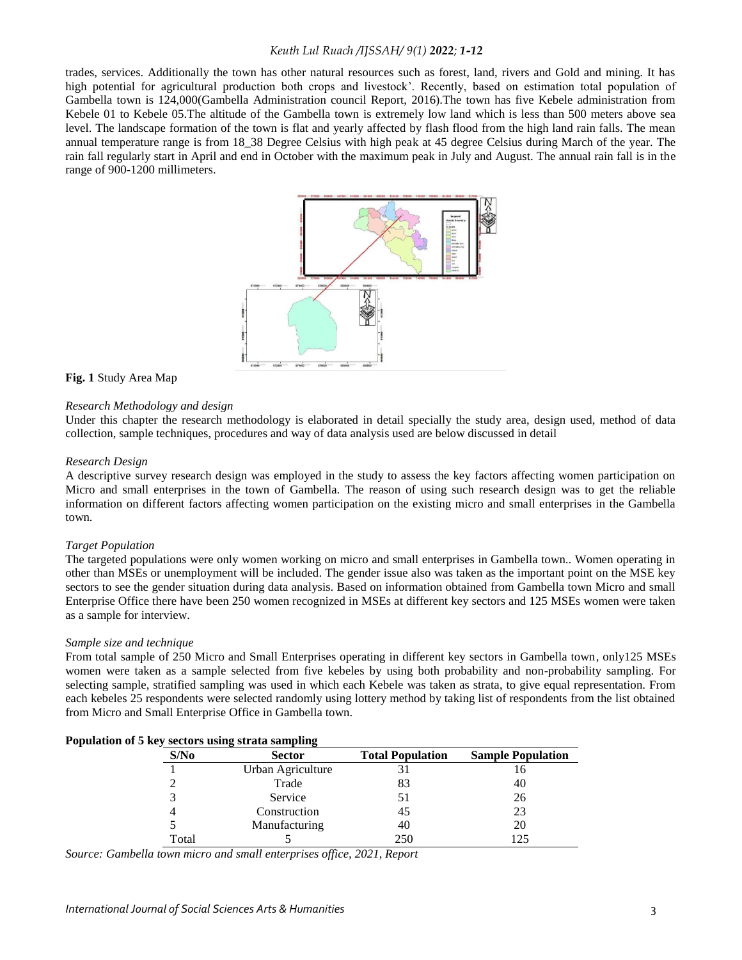trades, services. Additionally the town has other natural resources such as forest, land, rivers and Gold and mining. It has high potential for agricultural production both crops and livestock'. Recently, based on estimation total population of Gambella town is 124,000(Gambella Administration council Report, 2016).The town has five Kebele administration from Kebele 01 to Kebele 05.The altitude of the Gambella town is extremely low land which is less than 500 meters above sea level. The landscape formation of the town is flat and yearly affected by flash flood from the high land rain falls. The mean annual temperature range is from 18\_38 Degree Celsius with high peak at 45 degree Celsius during March of the year. The rain fall regularly start in April and end in October with the maximum peak in July and August. The annual rain fall is in the range of 900-1200 millimeters.



#### **Fig. 1** Study Area Map

#### *Research Methodology and design*

Under this chapter the research methodology is elaborated in detail specially the study area, design used, method of data collection, sample techniques, procedures and way of data analysis used are below discussed in detail

#### *Research Design*

A descriptive survey research design was employed in the study to assess the key factors affecting women participation on Micro and small enterprises in the town of Gambella. The reason of using such research design was to get the reliable information on different factors affecting women participation on the existing micro and small enterprises in the Gambella town.

#### *Target Population*

The targeted populations were only women working on micro and small enterprises in Gambella town.. Women operating in other than MSEs or unemployment will be included. The gender issue also was taken as the important point on the MSE key sectors to see the gender situation during data analysis. Based on information obtained from Gambella town Micro and small Enterprise Office there have been 250 women recognized in MSEs at different key sectors and 125 MSEs women were taken as a sample for interview.

#### *Sample size and technique*

From total sample of 250 Micro and Small Enterprises operating in different key sectors in Gambella town, only125 MSEs women were taken as a sample selected from five kebeles by using both probability and non-probability sampling. For selecting sample, stratified sampling was used in which each Kebele was taken as strata, to give equal representation. From each kebeles 25 respondents were selected randomly using lottery method by taking list of respondents from the list obtained from Micro and Small Enterprise Office in Gambella town.

| Population of 5 key sectors using strata sampling |
|---------------------------------------------------|
|---------------------------------------------------|

| $\epsilon$ hey become ability because bamping |                   |                         |                          |  |  |  |  |
|-----------------------------------------------|-------------------|-------------------------|--------------------------|--|--|--|--|
| S/No                                          | <b>Sector</b>     | <b>Total Population</b> | <b>Sample Population</b> |  |  |  |  |
|                                               | Urban Agriculture |                         |                          |  |  |  |  |
|                                               | Trade             |                         | 40                       |  |  |  |  |
|                                               | Service           |                         | 26                       |  |  |  |  |
|                                               | Construction      | 45                      | 23                       |  |  |  |  |
|                                               | Manufacturing     | 40                      | 20                       |  |  |  |  |
| Total                                         |                   | 250                     |                          |  |  |  |  |
|                                               |                   |                         |                          |  |  |  |  |

*Source: Gambella town micro and small enterprises office, 2021, Report*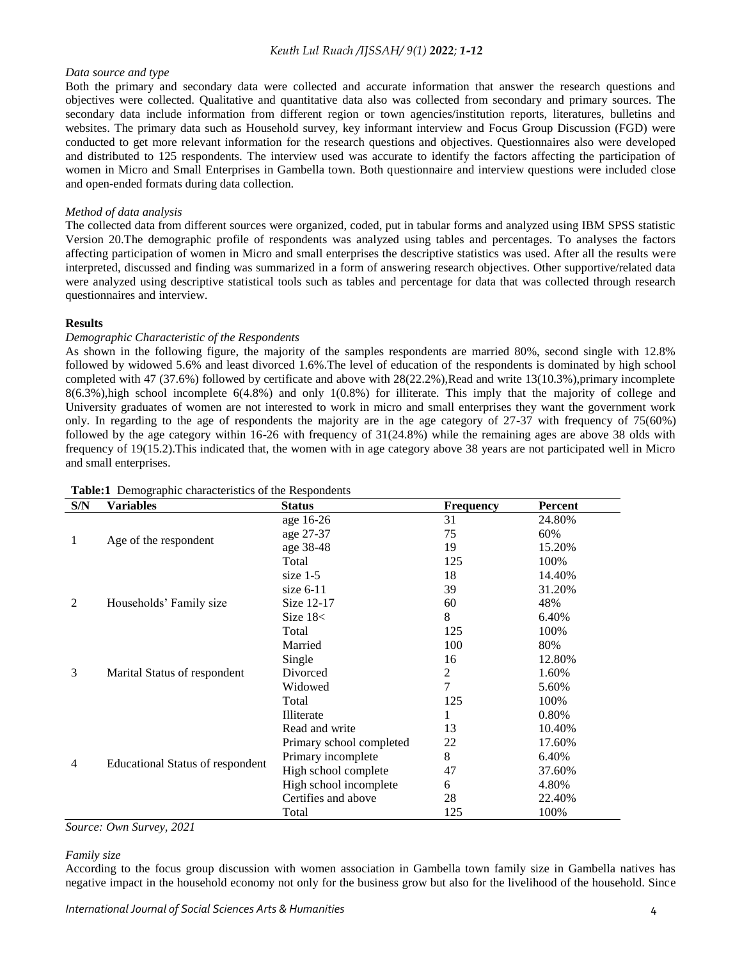#### *Data source and type*

Both the primary and secondary data were collected and accurate information that answer the research questions and objectives were collected. Qualitative and quantitative data also was collected from secondary and primary sources. The secondary data include information from different region or town agencies/institution reports, literatures, bulletins and websites. The primary data such as Household survey, key informant interview and Focus Group Discussion (FGD) were conducted to get more relevant information for the research questions and objectives. Questionnaires also were developed and distributed to 125 respondents. The interview used was accurate to identify the factors affecting the participation of women in Micro and Small Enterprises in Gambella town. Both questionnaire and interview questions were included close and open-ended formats during data collection.

## *Method of data analysis*

The collected data from different sources were organized, coded, put in tabular forms and analyzed using IBM SPSS statistic Version 20.The demographic profile of respondents was analyzed using tables and percentages. To analyses the factors affecting participation of women in Micro and small enterprises the descriptive statistics was used. After all the results were interpreted, discussed and finding was summarized in a form of answering research objectives. Other supportive/related data were analyzed using descriptive statistical tools such as tables and percentage for data that was collected through research questionnaires and interview.

## **Results**

## *Demographic Characteristic of the Respondents*

As shown in the following figure, the majority of the samples respondents are married 80%, second single with 12.8% followed by widowed 5.6% and least divorced 1.6%.The level of education of the respondents is dominated by high school completed with 47 (37.6%) followed by certificate and above with 28(22.2%),Read and write 13(10.3%),primary incomplete 8(6.3%),high school incomplete 6(4.8%) and only 1(0.8%) for illiterate. This imply that the majority of college and University graduates of women are not interested to work in micro and small enterprises they want the government work only. In regarding to the age of respondents the majority are in the age category of 27-37 with frequency of 75(60%) followed by the age category within 16-26 with frequency of 31(24.8%) while the remaining ages are above 38 olds with frequency of 19(15.2).This indicated that, the women with in age category above 38 years are not participated well in Micro and small enterprises.

| S/N            | <b>Variables</b>                        | <b>Status</b>            | <b>Frequency</b> | Percent |
|----------------|-----------------------------------------|--------------------------|------------------|---------|
|                |                                         | age 16-26                | 31               | 24.80%  |
|                |                                         | age 27-37                | 75               | 60%     |
| 1              | Age of the respondent                   | age 38-48                | 19               | 15.20%  |
|                |                                         | Total                    | 125              | 100%    |
|                |                                         | size $1-5$               | 18               | 14.40%  |
|                |                                         | size $6-11$              | 39               | 31.20%  |
| $\overline{2}$ | Households' Family size                 | Size 12-17               | 60               | 48%     |
|                |                                         | Size $18<$               | 8                | 6.40%   |
|                |                                         | Total                    | 125              | 100%    |
|                |                                         | Married                  | 100              | 80%     |
|                |                                         | Single                   | 16               | 12.80%  |
| 3              | Marital Status of respondent            | Divorced                 | 2                | 1.60%   |
|                |                                         | Widowed                  | 7                | 5.60%   |
|                |                                         | Total                    | 125              | 100%    |
|                |                                         | Illiterate               | 1                | 0.80%   |
|                |                                         | Read and write           | 13               | 10.40%  |
|                |                                         | Primary school completed | 22               | 17.60%  |
|                |                                         | Primary incomplete       | 8                | 6.40%   |
| 4              | <b>Educational Status of respondent</b> | High school complete     | 47               | 37.60%  |
|                |                                         | High school incomplete   | 6                | 4.80%   |
|                |                                         | Certifies and above      | 28               | 22.40%  |
|                |                                         | Total                    | 125              | 100%    |

#### **Table:1** Demographic characteristics of the Respondents

*Source: Own Survey, 2021*

## *Family size*

According to the focus group discussion with women association in Gambella town family size in Gambella natives has negative impact in the household economy not only for the business grow but also for the livelihood of the household. Since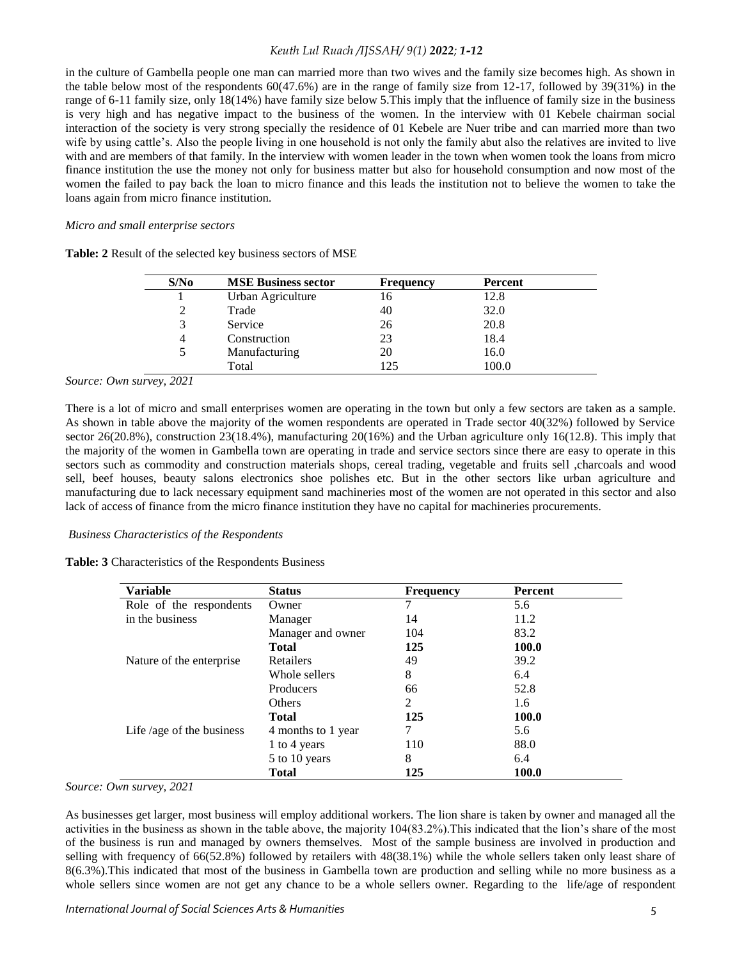in the culture of Gambella people one man can married more than two wives and the family size becomes high. As shown in the table below most of the respondents 60(47.6%) are in the range of family size from 12-17, followed by 39(31%) in the range of 6-11 family size, only 18(14%) have family size below 5.This imply that the influence of family size in the business is very high and has negative impact to the business of the women. In the interview with 01 Kebele chairman social interaction of the society is very strong specially the residence of 01 Kebele are Nuer tribe and can married more than two wife by using cattle's. Also the people living in one household is not only the family abut also the relatives are invited to live with and are members of that family. In the interview with women leader in the town when women took the loans from micro finance institution the use the money not only for business matter but also for household consumption and now most of the women the failed to pay back the loan to micro finance and this leads the institution not to believe the women to take the loans again from micro finance institution.

## *Micro and small enterprise sectors*

| S/N <sub>0</sub> | <b>MSE Business sector</b> | <b>Frequency</b> | Percent |  |
|------------------|----------------------------|------------------|---------|--|
|                  | Urban Agriculture          | 16               | 12.8    |  |
| 2                | Trade                      | 40               | 32.0    |  |
| 3                | Service                    | 26               | 20.8    |  |
| 4                | Construction               | 23               | 18.4    |  |
| 5                | Manufacturing              | 20               | 16.0    |  |
|                  | Total                      | 125              | 100.0   |  |

**Table: 2** Result of the selected key business sectors of MSE

## *Source: Own survey, 2021*

There is a lot of micro and small enterprises women are operating in the town but only a few sectors are taken as a sample. As shown in table above the majority of the women respondents are operated in Trade sector 40(32%) followed by Service sector 26(20.8%), construction 23(18.4%), manufacturing 20(16%) and the Urban agriculture only 16(12.8). This imply that the majority of the women in Gambella town are operating in trade and service sectors since there are easy to operate in this sectors such as commodity and construction materials shops, cereal trading, vegetable and fruits sell ,charcoals and wood sell, beef houses, beauty salons electronics shoe polishes etc. But in the other sectors like urban agriculture and manufacturing due to lack necessary equipment sand machineries most of the women are not operated in this sector and also lack of access of finance from the micro finance institution they have no capital for machineries procurements.

## *Business Characteristics of the Respondents*

#### **Table: 3** Characteristics of the Respondents Business

| <b>Variable</b>           | <b>Status</b>      | <b>Frequency</b> | Percent      |
|---------------------------|--------------------|------------------|--------------|
| Role of the respondents   | Owner              |                  | 5.6          |
| in the business           | Manager            | 14               | 11.2         |
|                           | Manager and owner  | 104              | 83.2         |
|                           | <b>Total</b>       | 125              | 100.0        |
| Nature of the enterprise. | Retailers          | 49               | 39.2         |
|                           | Whole sellers      | 8                | 6.4          |
|                           | Producers          | 66               | 52.8         |
|                           | Others             | 2                | 1.6          |
|                           | <b>Total</b>       | 125              | 100.0        |
| Life/age of the business  | 4 months to 1 year | 7                | 5.6          |
|                           | 1 to 4 years       | 110              | 88.0         |
|                           | 5 to 10 years      | 8                | 6.4          |
|                           | <b>Total</b>       | 125              | <b>100.0</b> |

#### *Source: Own survey, 2021*

As businesses get larger, most business will employ additional workers. The lion share is taken by owner and managed all the activities in the business as shown in the table above, the majority 104(83.2%).This indicated that the lion's share of the most of the business is run and managed by owners themselves. Most of the sample business are involved in production and selling with frequency of 66(52.8%) followed by retailers with 48(38.1%) while the whole sellers taken only least share of 8(6.3%).This indicated that most of the business in Gambella town are production and selling while no more business as a whole sellers since women are not get any chance to be a whole sellers owner. Regarding to the life/age of respondent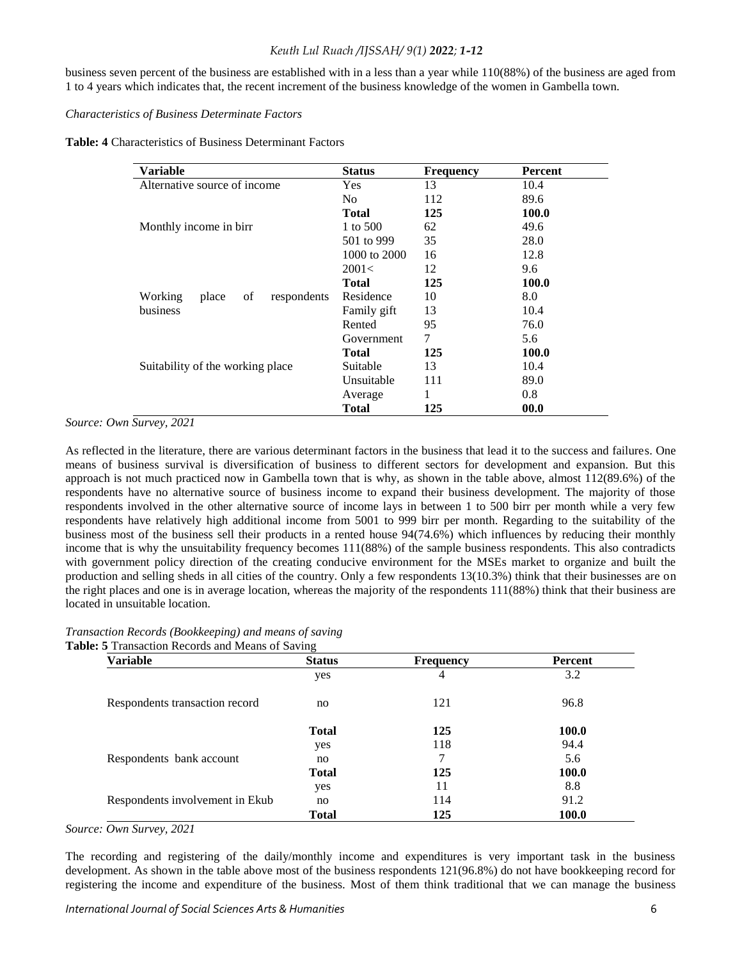business seven percent of the business are established with in a less than a year while 110(88%) of the business are aged from 1 to 4 years which indicates that, the recent increment of the business knowledge of the women in Gambella town.

## *Characteristics of Business Determinate Factors*

**Table: 4** Characteristics of Business Determinant Factors

| Variable                              | <b>Status</b> | <b>Frequency</b> | Percent |
|---------------------------------------|---------------|------------------|---------|
| Alternative source of income          | <b>Yes</b>    | 13               | 10.4    |
|                                       | No.           | 112              | 89.6    |
|                                       | <b>Total</b>  | 125              | 100.0   |
| Monthly income in birr                | 1 to 500      | 62               | 49.6    |
|                                       | 501 to 999    | 35               | 28.0    |
|                                       | 1000 to 2000  | 16               | 12.8    |
|                                       | 2001<         | 12               | 9.6     |
|                                       | Total         | 125              | 100.0   |
| Working<br>of<br>respondents<br>place | Residence     | 10               | 8.0     |
| business                              | Family gift   | 13               | 10.4    |
|                                       | Rented        | 95               | 76.0    |
|                                       | Government    | 7                | 5.6     |
|                                       | Total         | 125              | 100.0   |
| Suitability of the working place      | Suitable      | 13               | 10.4    |
|                                       | Unsuitable    | 111              | 89.0    |
|                                       | Average       | 1                | 0.8     |
|                                       | <b>Total</b>  | 125              | 00.0    |

*Source: Own Survey, 2021*

As reflected in the literature, there are various determinant factors in the business that lead it to the success and failures. One means of business survival is diversification of business to different sectors for development and expansion. But this approach is not much practiced now in Gambella town that is why, as shown in the table above, almost 112(89.6%) of the respondents have no alternative source of business income to expand their business development. The majority of those respondents involved in the other alternative source of income lays in between 1 to 500 birr per month while a very few respondents have relatively high additional income from 5001 to 999 birr per month. Regarding to the suitability of the business most of the business sell their products in a rented house 94(74.6%) which influences by reducing their monthly income that is why the unsuitability frequency becomes 111(88%) of the sample business respondents. This also contradicts with government policy direction of the creating conducive environment for the MSEs market to organize and built the production and selling sheds in all cities of the country. Only a few respondents 13(10.3%) think that their businesses are on the right places and one is in average location, whereas the majority of the respondents 111(88%) think that their business are located in unsuitable location.

| Transaction Records (Bookkeeping) and means of saving   |  |  |
|---------------------------------------------------------|--|--|
| <b>Table: 5</b> Transaction Records and Means of Saving |  |  |

| Variable                        | <b>Status</b> | <b>Frequency</b> | Percent      |
|---------------------------------|---------------|------------------|--------------|
|                                 | yes           | 4                | 3.2          |
| Respondents transaction record  | no.           | 121              | 96.8         |
|                                 | <b>Total</b>  | 125              | 100.0        |
|                                 | yes           | 118              | 94.4         |
| Respondents bank account        | no            | 7                | 5.6          |
|                                 | Total         | 125              | 100.0        |
|                                 | yes           | 11               | 8.8          |
| Respondents involvement in Ekub | no            | 114              | 91.2         |
|                                 | Total         | 125              | <b>100.0</b> |

*Source: Own Survey, 2021*

The recording and registering of the daily/monthly income and expenditures is very important task in the business development. As shown in the table above most of the business respondents 121(96.8%) do not have bookkeeping record for registering the income and expenditure of the business. Most of them think traditional that we can manage the business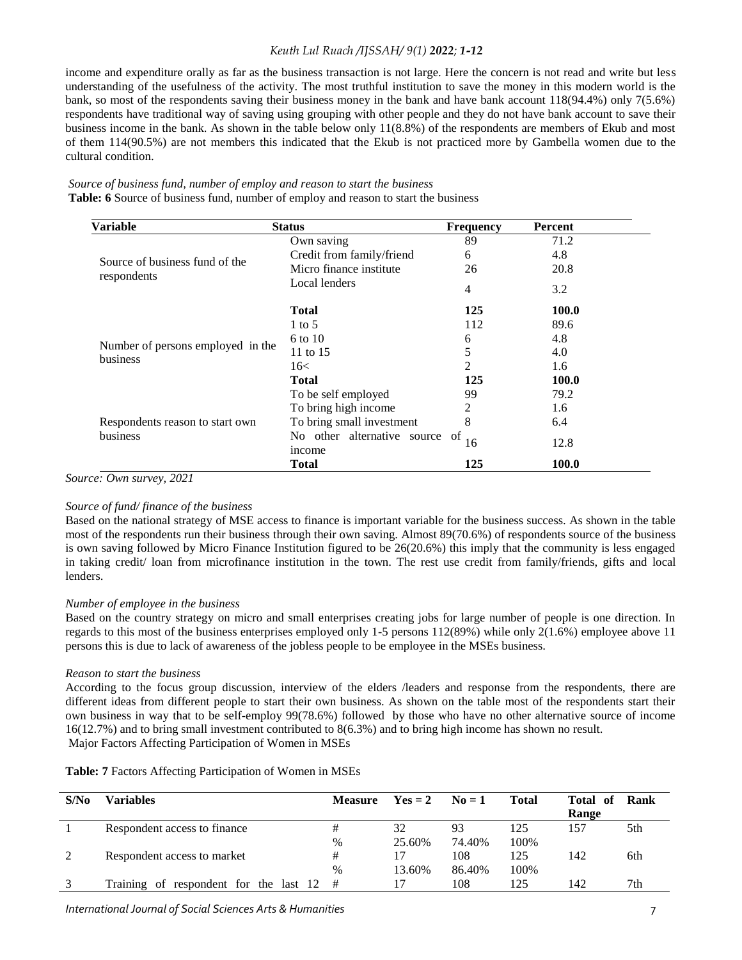income and expenditure orally as far as the business transaction is not large. Here the concern is not read and write but less understanding of the usefulness of the activity. The most truthful institution to save the money in this modern world is the bank, so most of the respondents saving their business money in the bank and have bank account 118(94.4%) only 7(5.6%) respondents have traditional way of saving using grouping with other people and they do not have bank account to save their business income in the bank. As shown in the table below only 11(8.8%) of the respondents are members of Ekub and most of them 114(90.5%) are not members this indicated that the Ekub is not practiced more by Gambella women due to the cultural condition.

| Source of business fund, number of employ and reason to start the business                 |
|--------------------------------------------------------------------------------------------|
| <b>Table: 6</b> Source of business fund, number of employ and reason to start the business |

| <b>Variable</b>                   | <b>Status</b>                         | <b>Frequency</b> | Percent |
|-----------------------------------|---------------------------------------|------------------|---------|
|                                   | Own saving                            | 89               | 71.2    |
|                                   | Credit from family/friend             | 6                | 4.8     |
| Source of business fund of the    | Micro finance institute               | 26               | 20.8    |
| respondents                       | Local lenders                         | 4                | 3.2     |
|                                   | <b>Total</b>                          | 125              | 100.0   |
|                                   | 1 to 5                                | 112              | 89.6    |
|                                   | 6 to 10                               | 6                | 4.8     |
| Number of persons employed in the | 11 to 15                              | 5                | 4.0     |
| business                          | 16<                                   | 2                | 1.6     |
|                                   | <b>Total</b>                          | 125              | 100.0   |
|                                   | To be self employed                   | 99               | 79.2    |
|                                   | To bring high income                  | 2                | 1.6     |
| Respondents reason to start own   | To bring small investment             | 8                | 6.4     |
| business                          | No other alternative source<br>income | of<br>16         | 12.8    |
|                                   | <b>Total</b>                          | 125              | 100.0   |

*Source: Own survey, 2021*

#### *Source of fund/ finance of the business*

Based on the national strategy of MSE access to finance is important variable for the business success. As shown in the table most of the respondents run their business through their own saving. Almost 89(70.6%) of respondents source of the business is own saving followed by Micro Finance Institution figured to be 26(20.6%) this imply that the community is less engaged in taking credit/ loan from microfinance institution in the town. The rest use credit from family/friends, gifts and local lenders.

#### *Number of employee in the business*

Based on the country strategy on micro and small enterprises creating jobs for large number of people is one direction. In regards to this most of the business enterprises employed only 1-5 persons 112(89%) while only 2(1.6%) employee above 11 persons this is due to lack of awareness of the jobless people to be employee in the MSEs business.

#### *Reason to start the business*

According to the focus group discussion, interview of the elders /leaders and response from the respondents, there are different ideas from different people to start their own business. As shown on the table most of the respondents start their own business in way that to be self-employ 99(78.6%) followed by those who have no other alternative source of income 16(12.7%) and to bring small investment contributed to 8(6.3%) and to bring high income has shown no result. Major Factors Affecting Participation of Women in MSEs

|  | Table: 7 Factors Affecting Participation of Women in MSEs |  |  |  |  |
|--|-----------------------------------------------------------|--|--|--|--|
|  |                                                           |  |  |  |  |

| S/N <sub>0</sub> | <b>Variables</b>                            | <b>Measure</b> | $\text{Yes} = 2 \qquad \text{No} = 1$ |        | <b>Total</b> | <b>Total of Rank</b><br>Range |     |
|------------------|---------------------------------------------|----------------|---------------------------------------|--------|--------------|-------------------------------|-----|
|                  | Respondent access to finance                | #              | 32                                    | 93     | 125          | 157                           | 5th |
|                  |                                             | $\%$           | 25.60%                                | 74.40% | 100%         |                               |     |
| 2                | Respondent access to market                 | #              | 17                                    | 108    | 125          | 142                           | 6th |
|                  |                                             | $\%$           | 13.60%                                | 86.40% | 100%         |                               |     |
|                  | Training of respondent for the last $12 \#$ |                |                                       | 108    | 125          | 142                           | 7th |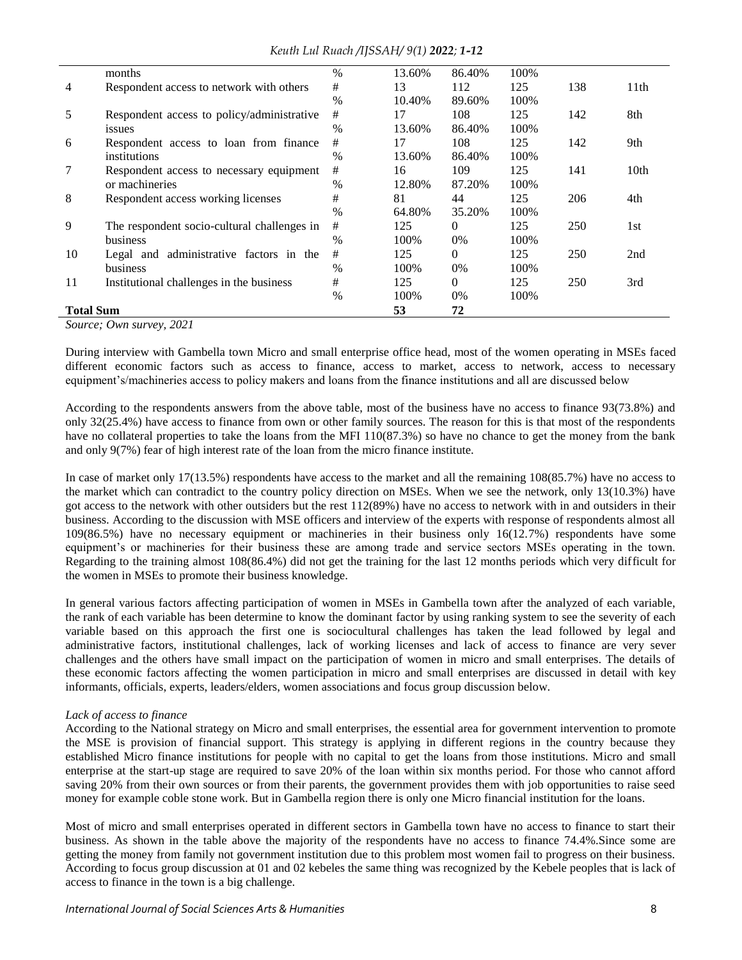|                          | months                                      | $\%$          | 13.60% | 86.40%         | 100% |     |                  |  |  |  |
|--------------------------|---------------------------------------------|---------------|--------|----------------|------|-----|------------------|--|--|--|
| $\overline{4}$           | Respondent access to network with others    | #             | 13     | 112            | 125  | 138 | 11 <sup>th</sup> |  |  |  |
|                          |                                             | %             | 10.40% | 89.60%         | 100% |     |                  |  |  |  |
| 5                        | Respondent access to policy/administrative  | #             | 17     | 108            | 125  | 142 | 8th              |  |  |  |
|                          | <i>issues</i>                               | $\frac{0}{0}$ | 13.60% | 86.40%         | 100% |     |                  |  |  |  |
| 6                        | Respondent access to loan from finance      | #             | 17     | 108            | 125  | 142 | 9th              |  |  |  |
|                          | institutions                                | $\%$          | 13.60% | 86.40%         | 100% |     |                  |  |  |  |
| 7                        | Respondent access to necessary equipment    | #             | 16     | 109            | 125  | 141 | 10th             |  |  |  |
|                          | or machineries                              | $\%$          | 12.80% | 87.20%         | 100% |     |                  |  |  |  |
| 8                        | Respondent access working licenses          | #             | 81     | 44             | 125  | 206 | 4th              |  |  |  |
|                          |                                             | $\%$          | 64.80% | 35.20%         | 100% |     |                  |  |  |  |
| 9                        | The respondent socio-cultural challenges in | #             | 125    | $\Omega$       | 125  | 250 | 1st              |  |  |  |
|                          | business                                    | $\%$          | 100%   | 0%             | 100% |     |                  |  |  |  |
| 10                       | Legal and administrative factors in the     | #             | 125    | 0              | 125  | 250 | 2nd              |  |  |  |
|                          | business                                    | $\frac{0}{0}$ | 100%   | 0%             | 100% |     |                  |  |  |  |
| 11                       | Institutional challenges in the business    | #             | 125    | $\overline{0}$ | 125  | 250 | 3rd              |  |  |  |
|                          |                                             | $\%$          | 100%   | 0%             | 100% |     |                  |  |  |  |
| <b>Total Sum</b>         |                                             |               | 53     | 72             |      |     |                  |  |  |  |
| Source; Own survey, 2021 |                                             |               |        |                |      |     |                  |  |  |  |

During interview with Gambella town Micro and small enterprise office head, most of the women operating in MSEs faced different economic factors such as access to finance, access to market, access to network, access to necessary equipment's/machineries access to policy makers and loans from the finance institutions and all are discussed below

According to the respondents answers from the above table, most of the business have no access to finance 93(73.8%) and only 32(25.4%) have access to finance from own or other family sources. The reason for this is that most of the respondents have no collateral properties to take the loans from the MFI 110(87.3%) so have no chance to get the money from the bank and only 9(7%) fear of high interest rate of the loan from the micro finance institute.

In case of market only 17(13.5%) respondents have access to the market and all the remaining 108(85.7%) have no access to the market which can contradict to the country policy direction on MSEs. When we see the network, only 13(10.3%) have got access to the network with other outsiders but the rest 112(89%) have no access to network with in and outsiders in their business. According to the discussion with MSE officers and interview of the experts with response of respondents almost all 109(86.5%) have no necessary equipment or machineries in their business only 16(12.7%) respondents have some equipment's or machineries for their business these are among trade and service sectors MSEs operating in the town. Regarding to the training almost 108(86.4%) did not get the training for the last 12 months periods which very difficult for the women in MSEs to promote their business knowledge.

In general various factors affecting participation of women in MSEs in Gambella town after the analyzed of each variable, the rank of each variable has been determine to know the dominant factor by using ranking system to see the severity of each variable based on this approach the first one is sociocultural challenges has taken the lead followed by legal and administrative factors, institutional challenges, lack of working licenses and lack of access to finance are very sever challenges and the others have small impact on the participation of women in micro and small enterprises. The details of these economic factors affecting the women participation in micro and small enterprises are discussed in detail with key informants, officials, experts, leaders/elders, women associations and focus group discussion below.

## *Lack of access to finance*

According to the National strategy on Micro and small enterprises, the essential area for government intervention to promote the MSE is provision of financial support. This strategy is applying in different regions in the country because they established Micro finance institutions for people with no capital to get the loans from those institutions. Micro and small enterprise at the start-up stage are required to save 20% of the loan within six months period. For those who cannot afford saving 20% from their own sources or from their parents, the government provides them with job opportunities to raise seed money for example coble stone work. But in Gambella region there is only one Micro financial institution for the loans.

Most of micro and small enterprises operated in different sectors in Gambella town have no access to finance to start their business. As shown in the table above the majority of the respondents have no access to finance 74.4%.Since some are getting the money from family not government institution due to this problem most women fail to progress on their business. According to focus group discussion at 01 and 02 kebeles the same thing was recognized by the Kebele peoples that is lack of access to finance in the town is a big challenge.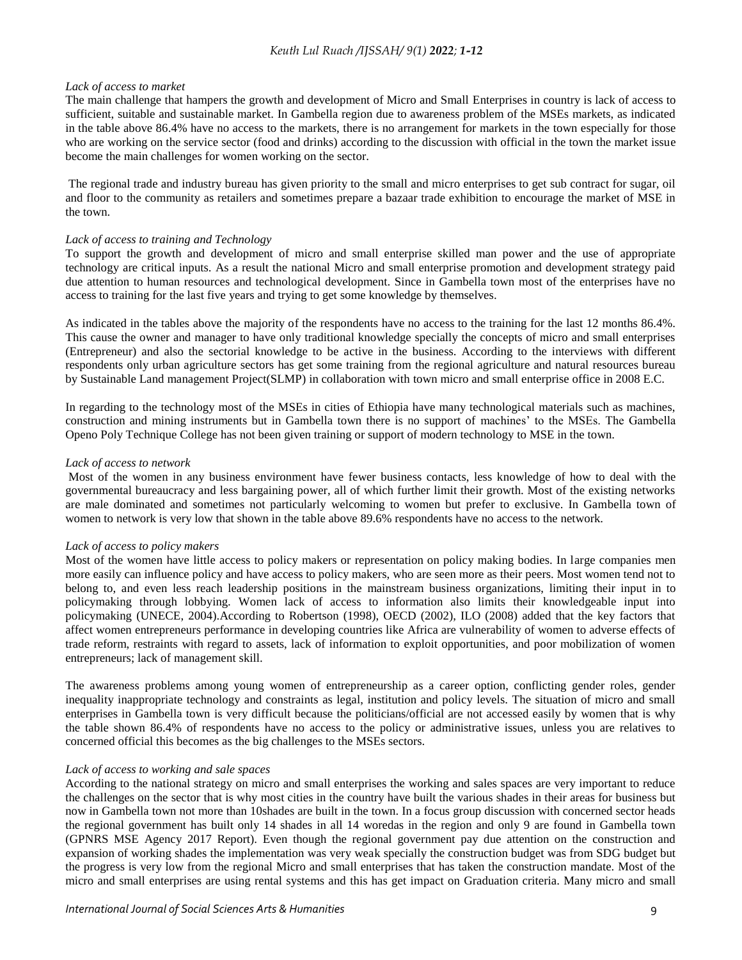## *Lack of access to market*

The main challenge that hampers the growth and development of Micro and Small Enterprises in country is lack of access to sufficient, suitable and sustainable market. In Gambella region due to awareness problem of the MSEs markets, as indicated in the table above 86.4% have no access to the markets, there is no arrangement for markets in the town especially for those who are working on the service sector (food and drinks) according to the discussion with official in the town the market issue become the main challenges for women working on the sector.

The regional trade and industry bureau has given priority to the small and micro enterprises to get sub contract for sugar, oil and floor to the community as retailers and sometimes prepare a bazaar trade exhibition to encourage the market of MSE in the town.

## *Lack of access to training and Technology*

To support the growth and development of micro and small enterprise skilled man power and the use of appropriate technology are critical inputs. As a result the national Micro and small enterprise promotion and development strategy paid due attention to human resources and technological development. Since in Gambella town most of the enterprises have no access to training for the last five years and trying to get some knowledge by themselves.

As indicated in the tables above the majority of the respondents have no access to the training for the last 12 months 86.4%. This cause the owner and manager to have only traditional knowledge specially the concepts of micro and small enterprises (Entrepreneur) and also the sectorial knowledge to be active in the business. According to the interviews with different respondents only urban agriculture sectors has get some training from the regional agriculture and natural resources bureau by Sustainable Land management Project(SLMP) in collaboration with town micro and small enterprise office in 2008 E.C.

In regarding to the technology most of the MSEs in cities of Ethiopia have many technological materials such as machines, construction and mining instruments but in Gambella town there is no support of machines' to the MSEs. The Gambella Openo Poly Technique College has not been given training or support of modern technology to MSE in the town.

## *Lack of access to network*

Most of the women in any business environment have fewer business contacts, less knowledge of how to deal with the governmental bureaucracy and less bargaining power, all of which further limit their growth. Most of the existing networks are male dominated and sometimes not particularly welcoming to women but prefer to exclusive. In Gambella town of women to network is very low that shown in the table above 89.6% respondents have no access to the network.

## *Lack of access to policy makers*

Most of the women have little access to policy makers or representation on policy making bodies. In large companies men more easily can influence policy and have access to policy makers, who are seen more as their peers. Most women tend not to belong to, and even less reach leadership positions in the mainstream business organizations, limiting their input in to policymaking through lobbying. Women lack of access to information also limits their knowledgeable input into policymaking (UNECE, 2004).According to Robertson (1998), OECD (2002), ILO (2008) added that the key factors that affect women entrepreneurs performance in developing countries like Africa are vulnerability of women to adverse effects of trade reform, restraints with regard to assets, lack of information to exploit opportunities, and poor mobilization of women entrepreneurs; lack of management skill.

The awareness problems among young women of entrepreneurship as a career option, conflicting gender roles, gender inequality inappropriate technology and constraints as legal, institution and policy levels. The situation of micro and small enterprises in Gambella town is very difficult because the politicians/official are not accessed easily by women that is why the table shown 86.4% of respondents have no access to the policy or administrative issues, unless you are relatives to concerned official this becomes as the big challenges to the MSEs sectors.

## *Lack of access to working and sale spaces*

According to the national strategy on micro and small enterprises the working and sales spaces are very important to reduce the challenges on the sector that is why most cities in the country have built the various shades in their areas for business but now in Gambella town not more than 10shades are built in the town. In a focus group discussion with concerned sector heads the regional government has built only 14 shades in all 14 woredas in the region and only 9 are found in Gambella town (GPNRS MSE Agency 2017 Report). Even though the regional government pay due attention on the construction and expansion of working shades the implementation was very weak specially the construction budget was from SDG budget but the progress is very low from the regional Micro and small enterprises that has taken the construction mandate. Most of the micro and small enterprises are using rental systems and this has get impact on Graduation criteria. Many micro and small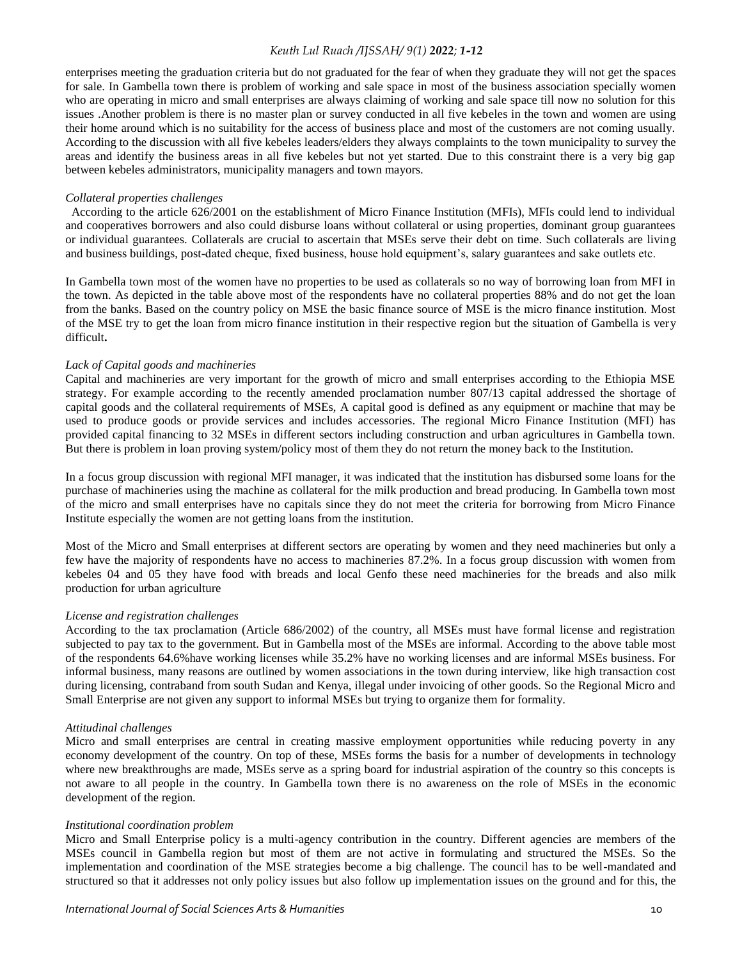enterprises meeting the graduation criteria but do not graduated for the fear of when they graduate they will not get the spaces for sale. In Gambella town there is problem of working and sale space in most of the business association specially women who are operating in micro and small enterprises are always claiming of working and sale space till now no solution for this issues .Another problem is there is no master plan or survey conducted in all five kebeles in the town and women are using their home around which is no suitability for the access of business place and most of the customers are not coming usually. According to the discussion with all five kebeles leaders/elders they always complaints to the town municipality to survey the areas and identify the business areas in all five kebeles but not yet started. Due to this constraint there is a very big gap between kebeles administrators, municipality managers and town mayors.

#### *Collateral properties challenges*

 According to the article 626/2001 on the establishment of Micro Finance Institution (MFIs), MFIs could lend to individual and cooperatives borrowers and also could disburse loans without collateral or using properties, dominant group guarantees or individual guarantees. Collaterals are crucial to ascertain that MSEs serve their debt on time. Such collaterals are living and business buildings, post-dated cheque, fixed business, house hold equipment's, salary guarantees and sake outlets etc.

In Gambella town most of the women have no properties to be used as collaterals so no way of borrowing loan from MFI in the town. As depicted in the table above most of the respondents have no collateral properties 88% and do not get the loan from the banks. Based on the country policy on MSE the basic finance source of MSE is the micro finance institution. Most of the MSE try to get the loan from micro finance institution in their respective region but the situation of Gambella is very difficult**.**

#### *Lack of Capital goods and machineries*

Capital and machineries are very important for the growth of micro and small enterprises according to the Ethiopia MSE strategy. For example according to the recently amended proclamation number 807/13 capital addressed the shortage of capital goods and the collateral requirements of MSEs, A capital good is defined as any equipment or machine that may be used to produce goods or provide services and includes accessories. The regional Micro Finance Institution (MFI) has provided capital financing to 32 MSEs in different sectors including construction and urban agricultures in Gambella town. But there is problem in loan proving system/policy most of them they do not return the money back to the Institution.

In a focus group discussion with regional MFI manager, it was indicated that the institution has disbursed some loans for the purchase of machineries using the machine as collateral for the milk production and bread producing. In Gambella town most of the micro and small enterprises have no capitals since they do not meet the criteria for borrowing from Micro Finance Institute especially the women are not getting loans from the institution.

Most of the Micro and Small enterprises at different sectors are operating by women and they need machineries but only a few have the majority of respondents have no access to machineries 87.2%. In a focus group discussion with women from kebeles 04 and 05 they have food with breads and local Genfo these need machineries for the breads and also milk production for urban agriculture

#### *License and registration challenges*

According to the tax proclamation (Article 686/2002) of the country, all MSEs must have formal license and registration subjected to pay tax to the government. But in Gambella most of the MSEs are informal. According to the above table most of the respondents 64.6%have working licenses while 35.2% have no working licenses and are informal MSEs business. For informal business, many reasons are outlined by women associations in the town during interview, like high transaction cost during licensing, contraband from south Sudan and Kenya, illegal under invoicing of other goods. So the Regional Micro and Small Enterprise are not given any support to informal MSEs but trying to organize them for formality.

#### *Attitudinal challenges*

Micro and small enterprises are central in creating massive employment opportunities while reducing poverty in any economy development of the country. On top of these, MSEs forms the basis for a number of developments in technology where new breakthroughs are made, MSEs serve as a spring board for industrial aspiration of the country so this concepts is not aware to all people in the country. In Gambella town there is no awareness on the role of MSEs in the economic development of the region.

#### *Institutional coordination problem*

Micro and Small Enterprise policy is a multi-agency contribution in the country. Different agencies are members of the MSEs council in Gambella region but most of them are not active in formulating and structured the MSEs. So the implementation and coordination of the MSE strategies become a big challenge. The council has to be well-mandated and structured so that it addresses not only policy issues but also follow up implementation issues on the ground and for this, the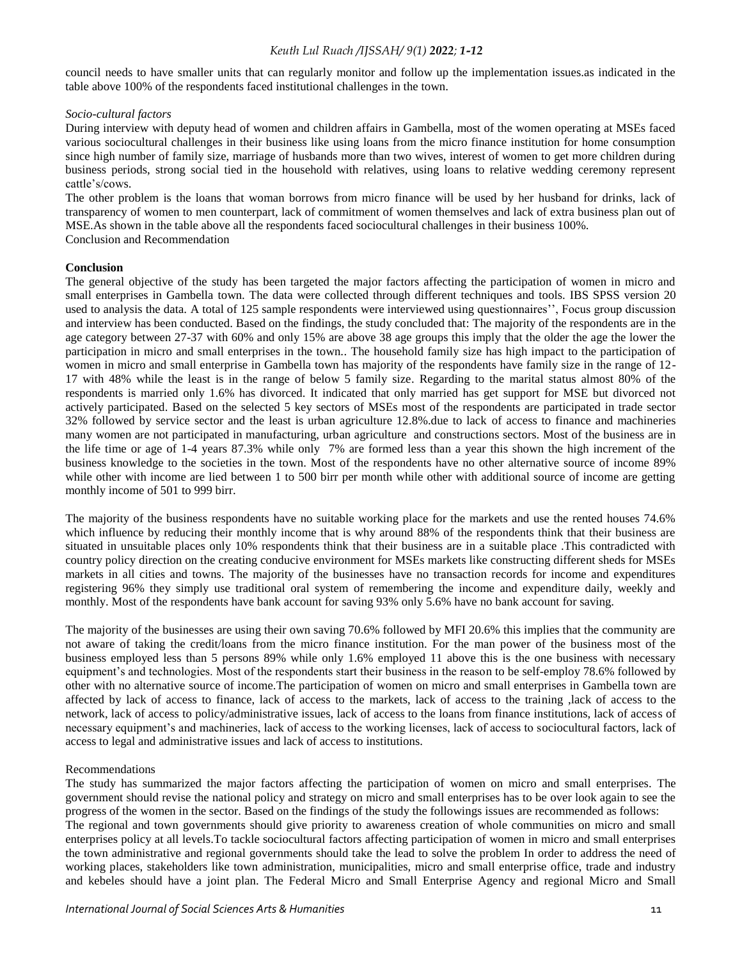council needs to have smaller units that can regularly monitor and follow up the implementation issues.as indicated in the table above 100% of the respondents faced institutional challenges in the town.

#### *Socio-cultural factors*

During interview with deputy head of women and children affairs in Gambella, most of the women operating at MSEs faced various sociocultural challenges in their business like using loans from the micro finance institution for home consumption since high number of family size, marriage of husbands more than two wives, interest of women to get more children during business periods, strong social tied in the household with relatives, using loans to relative wedding ceremony represent cattle's/cows.

The other problem is the loans that woman borrows from micro finance will be used by her husband for drinks, lack of transparency of women to men counterpart, lack of commitment of women themselves and lack of extra business plan out of MSE.As shown in the table above all the respondents faced sociocultural challenges in their business 100%. Conclusion and Recommendation

## **Conclusion**

The general objective of the study has been targeted the major factors affecting the participation of women in micro and small enterprises in Gambella town. The data were collected through different techniques and tools. IBS SPSS version 20 used to analysis the data. A total of 125 sample respondents were interviewed using questionnaires'', Focus group discussion and interview has been conducted. Based on the findings, the study concluded that: The majority of the respondents are in the age category between 27-37 with 60% and only 15% are above 38 age groups this imply that the older the age the lower the participation in micro and small enterprises in the town.. The household family size has high impact to the participation of women in micro and small enterprise in Gambella town has majority of the respondents have family size in the range of 12- 17 with 48% while the least is in the range of below 5 family size. Regarding to the marital status almost 80% of the respondents is married only 1.6% has divorced. It indicated that only married has get support for MSE but divorced not actively participated. Based on the selected 5 key sectors of MSEs most of the respondents are participated in trade sector 32% followed by service sector and the least is urban agriculture 12.8%.due to lack of access to finance and machineries many women are not participated in manufacturing, urban agriculture and constructions sectors. Most of the business are in the life time or age of 1-4 years 87.3% while only 7% are formed less than a year this shown the high increment of the business knowledge to the societies in the town. Most of the respondents have no other alternative source of income 89% while other with income are lied between 1 to 500 birr per month while other with additional source of income are getting monthly income of 501 to 999 birr.

The majority of the business respondents have no suitable working place for the markets and use the rented houses 74.6% which influence by reducing their monthly income that is why around 88% of the respondents think that their business are situated in unsuitable places only 10% respondents think that their business are in a suitable place .This contradicted with country policy direction on the creating conducive environment for MSEs markets like constructing different sheds for MSEs markets in all cities and towns. The majority of the businesses have no transaction records for income and expenditures registering 96% they simply use traditional oral system of remembering the income and expenditure daily, weekly and monthly. Most of the respondents have bank account for saving 93% only 5.6% have no bank account for saving.

The majority of the businesses are using their own saving 70.6% followed by MFI 20.6% this implies that the community are not aware of taking the credit/loans from the micro finance institution. For the man power of the business most of the business employed less than 5 persons 89% while only 1.6% employed 11 above this is the one business with necessary equipment's and technologies. Most of the respondents start their business in the reason to be self-employ 78.6% followed by other with no alternative source of income.The participation of women on micro and small enterprises in Gambella town are affected by lack of access to finance, lack of access to the markets, lack of access to the training ,lack of access to the network, lack of access to policy/administrative issues, lack of access to the loans from finance institutions, lack of access of necessary equipment's and machineries, lack of access to the working licenses, lack of access to sociocultural factors, lack of access to legal and administrative issues and lack of access to institutions.

#### Recommendations

The study has summarized the major factors affecting the participation of women on micro and small enterprises. The government should revise the national policy and strategy on micro and small enterprises has to be over look again to see the progress of the women in the sector. Based on the findings of the study the followings issues are recommended as follows: The regional and town governments should give priority to awareness creation of whole communities on micro and small enterprises policy at all levels.To tackle sociocultural factors affecting participation of women in micro and small enterprises the town administrative and regional governments should take the lead to solve the problem In order to address the need of working places, stakeholders like town administration, municipalities, micro and small enterprise office, trade and industry and kebeles should have a joint plan. The Federal Micro and Small Enterprise Agency and regional Micro and Small